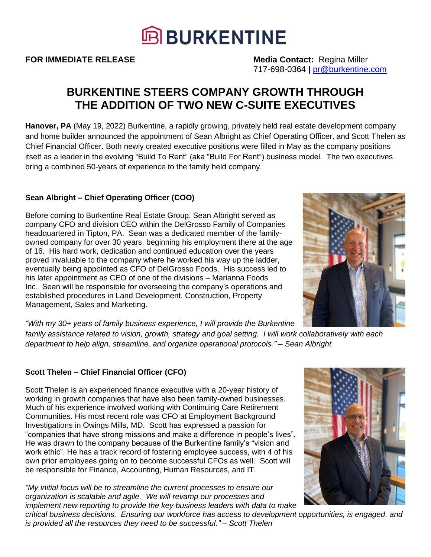

**FOR IMMEDIATE RELEASE Media Contact:** Regina Miller 717-698-0364 | [pr@burkentine.com](mailto:pr@burkentine.com)

# **BURKENTINE STEERS COMPANY GROWTH THROUGH THE ADDITION OF TWO NEW C-SUITE EXECUTIVES**

**Hanover, PA** (May 19, 2022) Burkentine, a rapidly growing, privately held real estate development company and home builder announced the appointment of Sean Albright as Chief Operating Officer, and Scott Thelen as Chief Financial Officer. Both newly created executive positions were filled in May as the company positions itself as a leader in the evolving "Build To Rent" (aka "Build For Rent") business model. The two executives bring a combined 50-years of experience to the family held company.

## **Sean Albright – Chief Operating Officer (COO)**

Before coming to Burkentine Real Estate Group, Sean Albright served as company CFO and division CEO within the DelGrosso Family of Companies headquartered in Tipton, PA. Sean was a dedicated member of the familyowned company for over 30 years, beginning his employment there at the age of 16. His hard work, dedication and continued education over the years proved invaluable to the company where he worked his way up the ladder, eventually being appointed as CFO of DelGrosso Foods. His success led to his later appointment as CEO of one of the divisions – Marianna Foods Inc. Sean will be responsible for overseeing the company's operations and established procedures in Land Development, Construction, Property Management, Sales and Marketing.

*"With my 30+ years of family business experience, I will provide the Burkentine* 

*family assistance related to vision, growth, strategy and goal setting. I will work collaboratively with each department to help align, streamline, and organize operational protocols." – Sean Albright*

# **Scott Thelen – Chief Financial Officer (CFO)**

Scott Thelen is an experienced finance executive with a 20-year history of working in growth companies that have also been family-owned businesses. Much of his experience involved working with Continuing Care Retirement Communities. His most recent role was CFO at Employment Background Investigations in Owings Mills, MD. Scott has expressed a passion for "companies that have strong missions and make a difference in people's lives". He was drawn to the company because of the Burkentine family's "vision and work ethic". He has a track record of fostering employee success, with 4 of his own prior employees going on to become successful CFOs as well. Scott will be responsible for Finance, Accounting, Human Resources, and IT.

*"My initial focus will be to streamline the current processes to ensure our organization is scalable and agile. We will revamp our processes and implement new reporting to provide the key business leaders with data to make* 

*critical business decisions. Ensuring our workforce has access to development opportunities, is engaged, and is provided all the resources they need to be successful." – Scott Thelen*